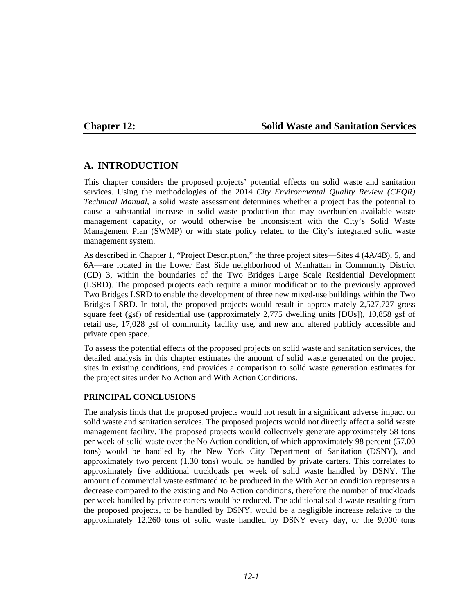## **Chapter 12: Solid Waste and Sanitation Services**

## **A. INTRODUCTION**

This chapter considers the proposed projects' potential effects on solid waste and sanitation services. Using the methodologies of the 2014 *City Environmental Quality Review (CEQR) Technical Manual*, a solid waste assessment determines whether a project has the potential to cause a substantial increase in solid waste production that may overburden available waste management capacity, or would otherwise be inconsistent with the City's Solid Waste Management Plan (SWMP) or with state policy related to the City's integrated solid waste management system.

As described in Chapter 1, "Project Description," the three project sites—Sites 4 (4A/4B), 5, and 6A—are located in the Lower East Side neighborhood of Manhattan in Community District (CD) 3, within the boundaries of the Two Bridges Large Scale Residential Development (LSRD). The proposed projects each require a minor modification to the previously approved Two Bridges LSRD to enable the development of three new mixed-use buildings within the Two Bridges LSRD. In total, the proposed projects would result in approximately 2,527,727 gross square feet (gsf) of residential use (approximately 2,775 dwelling units [DUs]), 10,858 gsf of retail use, 17,028 gsf of community facility use, and new and altered publicly accessible and private open space.

To assess the potential effects of the proposed projects on solid waste and sanitation services, the detailed analysis in this chapter estimates the amount of solid waste generated on the project sites in existing conditions, and provides a comparison to solid waste generation estimates for the project sites under No Action and With Action Conditions.

#### **PRINCIPAL CONCLUSIONS**

The analysis finds that the proposed projects would not result in a significant adverse impact on solid waste and sanitation services. The proposed projects would not directly affect a solid waste management facility. The proposed projects would collectively generate approximately 58 tons per week of solid waste over the No Action condition, of which approximately 98 percent (57.00 tons) would be handled by the New York City Department of Sanitation (DSNY), and approximately two percent (1.30 tons) would be handled by private carters. This correlates to approximately five additional truckloads per week of solid waste handled by DSNY. The amount of commercial waste estimated to be produced in the With Action condition represents a decrease compared to the existing and No Action conditions, therefore the number of truckloads per week handled by private carters would be reduced. The additional solid waste resulting from the proposed projects, to be handled by DSNY, would be a negligible increase relative to the approximately 12,260 tons of solid waste handled by DSNY every day, or the 9,000 tons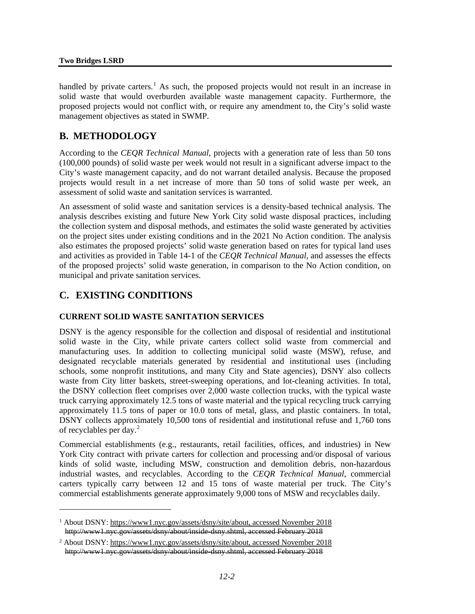handled by private carters.<sup>[1](#page-1-0)</sup> As such, the proposed projects would not result in an increase in solid waste that would overburden available waste management capacity. Furthermore, the proposed projects would not conflict with, or require any amendment to, the City's solid waste management objectives as stated in SWMP.

## **B. METHODOLOGY**

According to the *CEQR Technical Manual*, projects with a generation rate of less than 50 tons (100,000 pounds) of solid waste per week would not result in a significant adverse impact to the City's waste management capacity, and do not warrant detailed analysis. Because the proposed projects would result in a net increase of more than 50 tons of solid waste per week, an assessment of solid waste and sanitation services is warranted.

An assessment of solid waste and sanitation services is a density-based technical analysis. The analysis describes existing and future New York City solid waste disposal practices, including the collection system and disposal methods, and estimates the solid waste generated by activities on the project sites under existing conditions and in the 2021 No Action condition. The analysis also estimates the proposed projects' solid waste generation based on rates for typical land uses and activities as provided in Table 14-1 of the *CEQR Technical Manual*, and assesses the effects of the proposed projects' solid waste generation, in comparison to the No Action condition, on municipal and private sanitation services.

## **C. EXISTING CONDITIONS**

 $\overline{a}$ 

#### **CURRENT SOLID WASTE SANITATION SERVICES**

DSNY is the agency responsible for the collection and disposal of residential and institutional solid waste in the City, while private carters collect solid waste from commercial and manufacturing uses. In addition to collecting municipal solid waste (MSW), refuse, and designated recyclable materials generated by residential and institutional uses (including schools, some nonprofit institutions, and many City and State agencies), DSNY also collects waste from City litter baskets, street-sweeping operations, and lot-cleaning activities. In total, the DSNY collection fleet comprises over 2,000 waste collection trucks, with the typical waste truck carrying approximately 12.5 tons of waste material and the typical recycling truck carrying approximately 11.5 tons of paper or 10.0 tons of metal, glass, and plastic containers. In total, DSNY collects approximately 10,500 tons of residential and institutional refuse and 1,760 tons of recyclables per day. [2](#page-1-1)

Commercial establishments (e.g., restaurants, retail facilities, offices, and industries) in New York City contract with private carters for collection and processing and/or disposal of various kinds of solid waste, including MSW, construction and demolition debris, non-hazardous industrial wastes, and recyclables. According to the *CEQR Technical Manual*, commercial carters typically carry between 12 and 15 tons of waste material per truck. The City's commercial establishments generate approximately 9,000 tons of MSW and recyclables daily.

<span id="page-1-0"></span><sup>1</sup> About DSNY: https://www1.nyc.gov/assets/dsny/site/about, accessed November 2018 http://www1.nyc.gov/assets/dsny/about/inside-dsny.shtml, accessed February 2018

<span id="page-1-1"></span><sup>2</sup> About DSNY: https://www1.nyc.gov/assets/dsny/site/about, accessed November 2018 http://www1.nyc.gov/assets/dsny/about/inside-dsny.shtml, accessed February 2018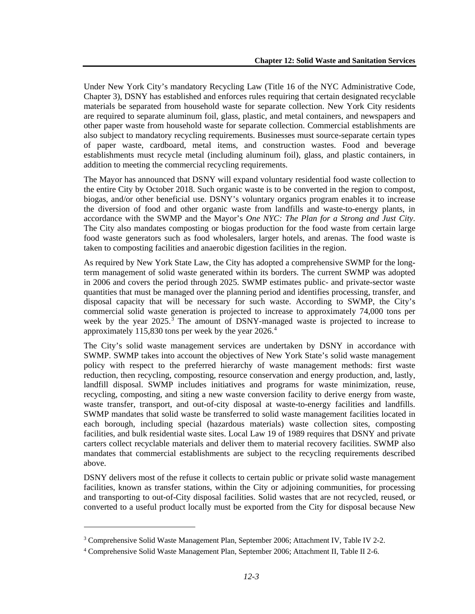Under New York City's mandatory Recycling Law (Title 16 of the NYC Administrative Code, Chapter 3), DSNY has established and enforces rules requiring that certain designated recyclable materials be separated from household waste for separate collection. New York City residents are required to separate aluminum foil, glass, plastic, and metal containers, and newspapers and other paper waste from household waste for separate collection. Commercial establishments are also subject to mandatory recycling requirements. Businesses must source-separate certain types of paper waste, cardboard, metal items, and construction wastes. Food and beverage establishments must recycle metal (including aluminum foil), glass, and plastic containers, in addition to meeting the commercial recycling requirements.

The Mayor has announced that DSNY will expand voluntary residential food waste collection to the entire City by October 2018. Such organic waste is to be converted in the region to compost, biogas, and/or other beneficial use. DSNY's voluntary organics program enables it to increase the diversion of food and other organic waste from landfills and waste-to-energy plants, in accordance with the SWMP and the Mayor's *One NYC: The Plan for a Strong and Just City*. The City also mandates composting or biogas production for the food waste from certain large food waste generators such as food wholesalers, larger hotels, and arenas. The food waste is taken to composting facilities and anaerobic digestion facilities in the region.

As required by New York State Law, the City has adopted a comprehensive SWMP for the longterm management of solid waste generated within its borders. The current SWMP was adopted in 2006 and covers the period through 2025. SWMP estimates public- and private-sector waste quantities that must be managed over the planning period and identifies processing, transfer, and disposal capacity that will be necessary for such waste. According to SWMP, the City's commercial solid waste generation is projected to increase to approximately 74,000 tons per week by the year  $2025$ .<sup>[3](#page-2-0)</sup> The amount of DSNY-managed waste is projected to increase to approximately 115,830 tons per week by the year 2026. [4](#page-2-1)

The City's solid waste management services are undertaken by DSNY in accordance with SWMP. SWMP takes into account the objectives of New York State's solid waste management policy with respect to the preferred hierarchy of waste management methods: first waste reduction, then recycling, composting, resource conservation and energy production, and, lastly, landfill disposal. SWMP includes initiatives and programs for waste minimization, reuse, recycling, composting, and siting a new waste conversion facility to derive energy from waste, waste transfer, transport, and out-of-city disposal at waste-to-energy facilities and landfills. SWMP mandates that solid waste be transferred to solid waste management facilities located in each borough, including special (hazardous materials) waste collection sites, composting facilities, and bulk residential waste sites. Local Law 19 of 1989 requires that DSNY and private carters collect recyclable materials and deliver them to material recovery facilities. SWMP also mandates that commercial establishments are subject to the recycling requirements described above.

DSNY delivers most of the refuse it collects to certain public or private solid waste management facilities, known as transfer stations, within the City or adjoining communities, for processing and transporting to out-of-City disposal facilities. Solid wastes that are not recycled, reused, or converted to a useful product locally must be exported from the City for disposal because New

 $\overline{a}$ 

<span id="page-2-0"></span><sup>3</sup> Comprehensive Solid Waste Management Plan, September 2006; Attachment IV, Table IV 2-2.

<span id="page-2-1"></span><sup>4</sup> Comprehensive Solid Waste Management Plan, September 2006; Attachment II, Table II 2-6.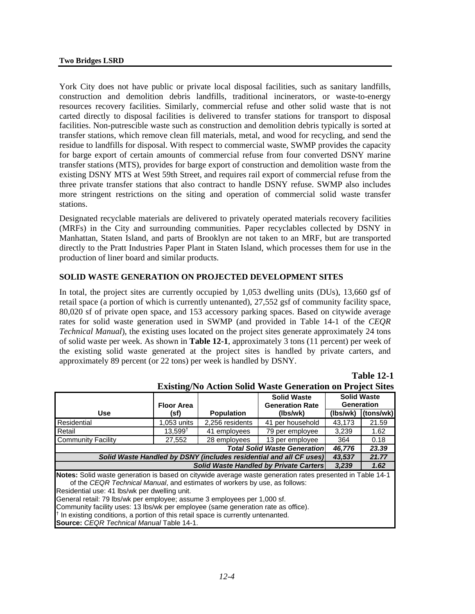York City does not have public or private local disposal facilities, such as sanitary landfills, construction and demolition debris landfills, traditional incinerators, or waste-to-energy resources recovery facilities. Similarly, commercial refuse and other solid waste that is not carted directly to disposal facilities is delivered to transfer stations for transport to disposal facilities. Non-putrescible waste such as construction and demolition debris typically is sorted at transfer stations, which remove clean fill materials, metal, and wood for recycling, and send the residue to landfills for disposal. With respect to commercial waste, SWMP provides the capacity for barge export of certain amounts of commercial refuse from four converted DSNY marine transfer stations (MTS), provides for barge export of construction and demolition waste from the existing DSNY MTS at West 59th Street, and requires rail export of commercial refuse from the three private transfer stations that also contract to handle DSNY refuse. SWMP also includes more stringent restrictions on the siting and operation of commercial solid waste transfer stations.

Designated recyclable materials are delivered to privately operated materials recovery facilities (MRFs) in the City and surrounding communities. Paper recyclables collected by DSNY in Manhattan, Staten Island, and parts of Brooklyn are not taken to an MRF, but are transported directly to the Pratt Industries Paper Plant in Staten Island, which processes them for use in the production of liner board and similar products.

### **SOLID WASTE GENERATION ON PROJECTED DEVELOPMENT SITES**

In total, the project sites are currently occupied by 1,053 dwelling units (DUs), 13,660 gsf of retail space (a portion of which is currently untenanted), 27,552 gsf of community facility space, 80,020 sf of private open space, and 153 accessory parking spaces. Based on citywide average rates for solid waste generation used in SWMP (and provided in Table 14-1 of the *CEQR Technical Manual*), the existing uses located on the project sites generate approximately 24 tons of solid waste per week. As shown in **Table 12-1**, approximately 3 tons (11 percent) per week of the existing solid waste generated at the project sites is handled by private carters, and approximately 89 percent (or 22 tons) per week is handled by DSNY.

| <b>EXISURE/IND ACTION SOME WASTE GENERATION ON FROJECT SITES</b>                                          |                   |                   |                                              |                                         |           |
|-----------------------------------------------------------------------------------------------------------|-------------------|-------------------|----------------------------------------------|-----------------------------------------|-----------|
|                                                                                                           | <b>Floor Area</b> |                   | <b>Solid Waste</b><br><b>Generation Rate</b> | <b>Solid Waste</b><br><b>Generation</b> |           |
| <b>Use</b>                                                                                                | (sf)              | <b>Population</b> | (lbs/wk)                                     | (lbs/wk)                                | (tons/wk) |
| Residential                                                                                               | 1,053 units       | 2,256 residents   | 41 per household                             | 43.173                                  | 21.59     |
| Retail                                                                                                    | $13.599^{+}$      | 41 employees      | 79 per employee                              | 3.239                                   | 1.62      |
| <b>Community Facility</b>                                                                                 | 27,552            | 28 employees      | 13 per employee                              | 364                                     | 0.18      |
| <b>Total Solid Waste Generation</b><br>46.776<br>23.39                                                    |                   |                   |                                              |                                         |           |
| Solid Waste Handled by DSNY (includes residential and all CF uses)<br>21.77<br>43,537                     |                   |                   |                                              |                                         |           |
|                                                                                                           |                   |                   | Solid Waste Handled by Private Carters       | 3,239                                   | 1.62      |
| Notes: Solid waste generation is based on citywide average waste generation rates presented in Table 14-1 |                   |                   |                                              |                                         |           |
| of the CEQR Technical Manual, and estimates of workers by use, as follows:                                |                   |                   |                                              |                                         |           |
| Residential use: 41 lbs/wk per dwelling unit.                                                             |                   |                   |                                              |                                         |           |
| General retail: 79 lbs/wk per employee; assume 3 employees per 1,000 sf.                                  |                   |                   |                                              |                                         |           |
| Community facility uses: 13 lbs/wk per employee (same generation rate as office).                         |                   |                   |                                              |                                         |           |
| <sup>†</sup> In existing conditions, a portion of this retail space is currently untenanted.              |                   |                   |                                              |                                         |           |
| <b>Source:</b> CEQR Technical Manual Table 14-1.                                                          |                   |                   |                                              |                                         |           |

|  | <b>Existing/No Action Solid Waste Generation on Project Sites</b> |  |  |  |
|--|-------------------------------------------------------------------|--|--|--|
|--|-------------------------------------------------------------------|--|--|--|

**Table 12-1**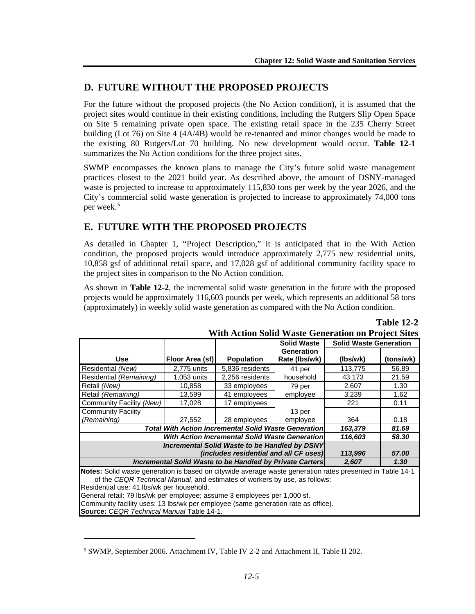## **D. FUTURE WITHOUT THE PROPOSED PROJECTS**

For the future without the proposed projects (the No Action condition), it is assumed that the project sites would continue in their existing conditions, including the Rutgers Slip Open Space on Site 5 remaining private open space. The existing retail space in the 235 Cherry Street building (Lot 76) on Site 4 (4A/4B) would be re-tenanted and minor changes would be made to the existing 80 Rutgers/Lot 70 building. No new development would occur. **Table 12-1**  summarizes the No Action conditions for the three project sites.

SWMP encompasses the known plans to manage the City's future solid waste management practices closest to the 2021 build year. As described above, the amount of DSNY-managed waste is projected to increase to approximately 115,830 tons per week by the year 2026, and the City's commercial solid waste generation is projected to increase to approximately 74,000 tons per week.<sup>[5](#page-4-0)</sup>

# **E. FUTURE WITH THE PROPOSED PROJECTS**

As detailed in Chapter 1, "Project Description," it is anticipated that in the With Action condition, the proposed projects would introduce approximately 2,775 new residential units, 10,858 gsf of additional retail space, and 17,028 gsf of additional community facility space to the project sites in comparison to the No Action condition.

As shown in **Table 12-2**, the incremental solid waste generation in the future with the proposed projects would be approximately 116,603 pounds per week, which represents an additional 58 tons (approximately) in weekly solid waste generation as compared with the No Action condition.

|                                                                                                                                                                                         | $\alpha$ and the column $\alpha$ and $\alpha$ is the column of $\alpha$ of $\alpha$ . The column<br><b>Solid Waste Generation</b><br><b>Solid Waste</b> |                   |               |          |           |
|-----------------------------------------------------------------------------------------------------------------------------------------------------------------------------------------|---------------------------------------------------------------------------------------------------------------------------------------------------------|-------------------|---------------|----------|-----------|
|                                                                                                                                                                                         |                                                                                                                                                         |                   | Generation    |          |           |
| Use                                                                                                                                                                                     | Floor Area (sf)                                                                                                                                         | <b>Population</b> | Rate (lbs/wk) | (lbs/wk) | (tons/wk) |
| Residential (New)                                                                                                                                                                       | 2.775 units                                                                                                                                             | 5,836 residents   | 41 per        | 113,775  | 56.89     |
| Residential (Remaining)                                                                                                                                                                 | 1,053 units                                                                                                                                             | 2,256 residents   | household     | 43,173   | 21.59     |
| Retail (New)                                                                                                                                                                            | 10,858                                                                                                                                                  | 33 employees      | 79 per        | 2,607    | 1.30      |
| Retail (Remaining)                                                                                                                                                                      | 13,599                                                                                                                                                  | 41 employees      | employee      | 3,239    | 1.62      |
| Community Facility (New)                                                                                                                                                                | 17,028                                                                                                                                                  | 17 employees      |               | 221      | 0.11      |
| <b>Community Facility</b>                                                                                                                                                               |                                                                                                                                                         |                   | 13 per        |          |           |
| (Remaining)                                                                                                                                                                             | 27,552                                                                                                                                                  | 28 employees      | employee      | 364      | 0.18      |
| <b>Total With Action Incremental Solid Waste Generation</b><br>163,379<br>81.69                                                                                                         |                                                                                                                                                         |                   |               |          |           |
| With Action Incremental Solid Waste Generation                                                                                                                                          |                                                                                                                                                         |                   | 116,603       | 58.30    |           |
| <b>Incremental Solid Waste to be Handled by DSNY</b>                                                                                                                                    |                                                                                                                                                         |                   |               |          |           |
| (includes residential and all CF uses)                                                                                                                                                  |                                                                                                                                                         |                   | 113,996       | 57.00    |           |
| Incremental Solid Waste to be Handled by Private Carters<br>1.30 <sub>1</sub><br>2,607                                                                                                  |                                                                                                                                                         |                   |               |          |           |
| Notes: Solid waste generation is based on citywide average waste generation rates presented in Table 14-1<br>of the CEQR Technical Manual, and estimates of workers by use, as follows: |                                                                                                                                                         |                   |               |          |           |
| Residential use: 41 lbs/wk per household.                                                                                                                                               |                                                                                                                                                         |                   |               |          |           |
| General retail: 79 lbs/wk ner employee: assume 3 employees ner 1,000 sf                                                                                                                 |                                                                                                                                                         |                   |               |          |           |

#### **Table 12-2 With Action Solid Waste Generation on Project Sites**

э lbs/wk per employee; assume 3 employees per 1,000 sf. Community facility uses: 13 lbs/wk per employee (same generation rate as office). **Source:** *CEQR Technical Manual* Table 14-1.

 $\overline{a}$ 

<span id="page-4-0"></span><sup>5</sup> SWMP, September 2006. Attachment IV, Table IV 2-2 and Attachment II, Table II 202.